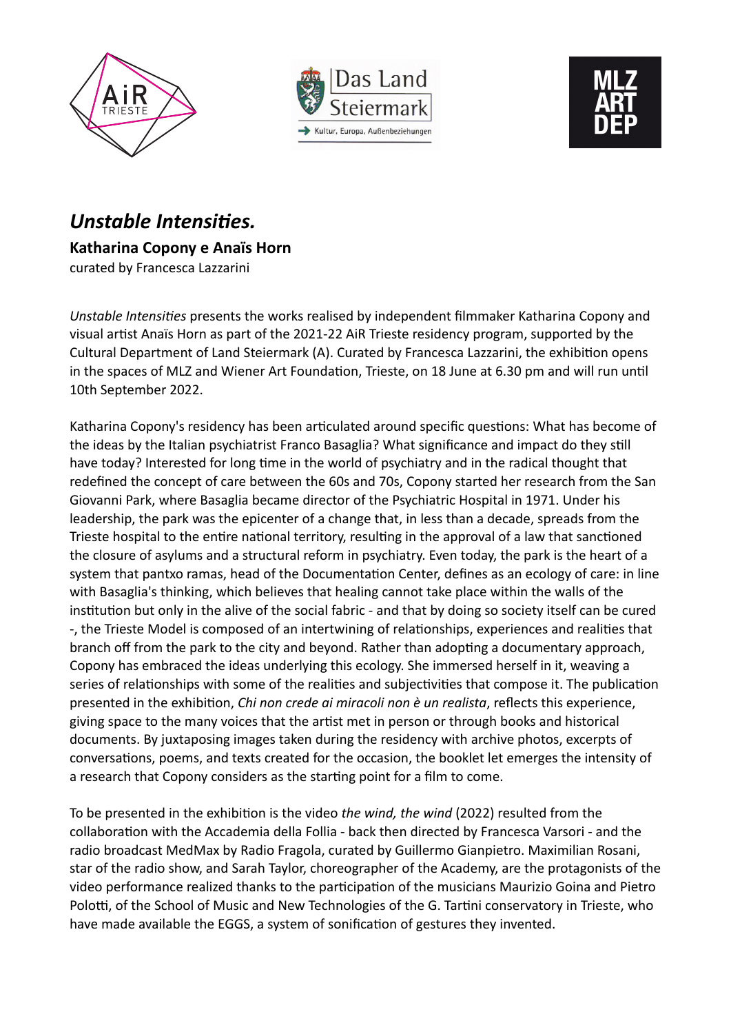





## *Unstable Intensities.*  **Katharina Copony e Anaïs Horn** curated by Francesca Lazzarini

*Unstable Intensities* presents the works realised by independent filmmaker Katharina Copony and visual artist Anaïs Horn as part of the 2021-22 AiR Trieste residency program, supported by the Cultural Department of Land Steiermark (A). Curated by Francesca Lazzarini, the exhibition opens in the spaces of MLZ and Wiener Art Foundation, Trieste, on 18 June at 6.30 pm and will run until 10th September 2022.

Katharina Copony's residency has been articulated around specific questions: What has become of the ideas by the Italian psychiatrist Franco Basaglia? What significance and impact do they still have today? Interested for long time in the world of psychiatry and in the radical thought that redefined the concept of care between the 60s and 70s, Copony started her research from the San Giovanni Park, where Basaglia became director of the Psychiatric Hospital in 1971. Under his leadership, the park was the epicenter of a change that, in less than a decade, spreads from the Trieste hospital to the entire national territory, resulting in the approval of a law that sanctioned the closure of asylums and a structural reform in psychiatry. Even today, the park is the heart of a system that pantxo ramas, head of the Documentation Center, defines as an ecology of care: in line with Basaglia's thinking, which believes that healing cannot take place within the walls of the institution but only in the alive of the social fabric - and that by doing so society itself can be cured -, the Trieste Model is composed of an intertwining of relationships, experiences and realities that branch off from the park to the city and beyond. Rather than adopting a documentary approach, Copony has embraced the ideas underlying this ecology. She immersed herself in it, weaving a series of relationships with some of the realities and subjectivities that compose it. The publication presented in the exhibition, *Chi non crede ai miracoli non è un realista*, reflects this experience, giving space to the many voices that the artist met in person or through books and historical documents. By juxtaposing images taken during the residency with archive photos, excerpts of conversations, poems, and texts created for the occasion, the booklet let emerges the intensity of a research that Copony considers as the starting point for a film to come.

To be presented in the exhibition is the video *the wind, the wind* (2022) resulted from the collaboration with the Accademia della Follia - back then directed by Francesca Varsori - and the radio broadcast MedMax by Radio Fragola, curated by Guillermo Gianpietro. Maximilian Rosani, star of the radio show, and Sarah Taylor, choreographer of the Academy, are the protagonists of the video performance realized thanks to the participation of the musicians Maurizio Goina and Pietro Polotti, of the School of Music and New Technologies of the G. Tartini conservatory in Trieste, who have made available the EGGS, a system of sonification of gestures they invented.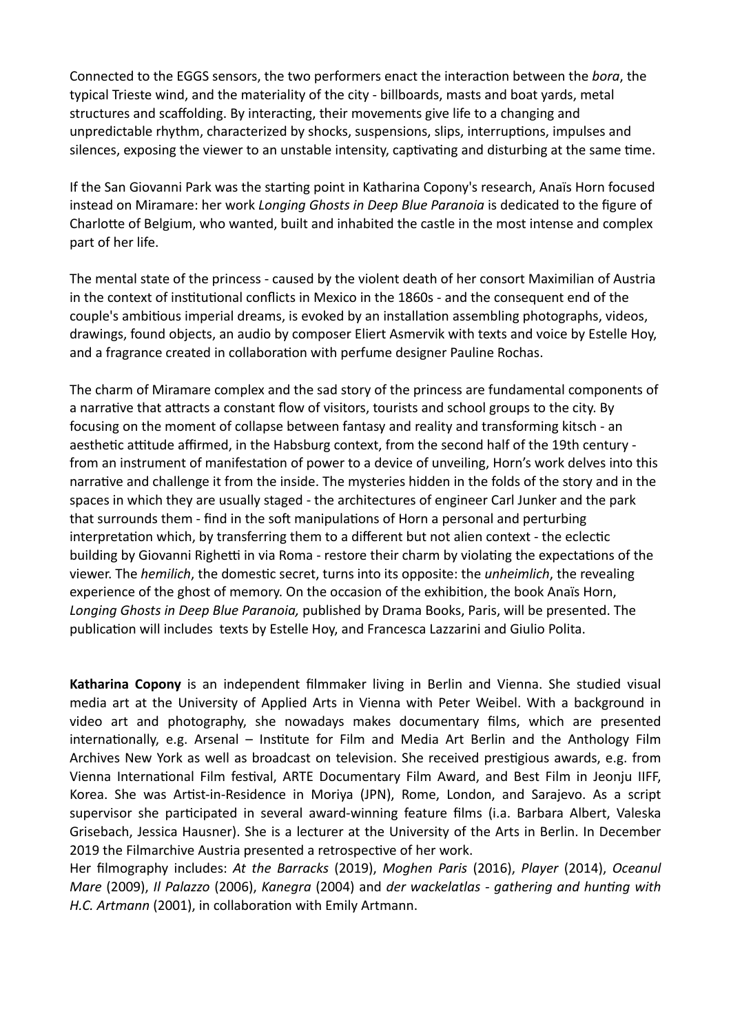Connected to the EGGS sensors, the two performers enact the interaction between the *bora*, the typical Trieste wind, and the materiality of the city - billboards, masts and boat yards, metal structures and scaffolding. By interacting, their movements give life to a changing and unpredictable rhythm, characterized by shocks, suspensions, slips, interruptions, impulses and silences, exposing the viewer to an unstable intensity, captivating and disturbing at the same time.

If the San Giovanni Park was the starting point in Katharina Copony's research, Anaïs Horn focused instead on Miramare: her work *Longing Ghosts in Deep Blue Paranoia* is dedicated to the figure of Charlotte of Belgium, who wanted, built and inhabited the castle in the most intense and complex part of her life.

The mental state of the princess - caused by the violent death of her consort Maximilian of Austria in the context of institutional conflicts in Mexico in the 1860s - and the consequent end of the couple's ambitious imperial dreams, is evoked by an installation assembling photographs, videos, drawings, found objects, an audio by composer Eliert Asmervik with texts and voice by Estelle Hoy, and a fragrance created in collaboration with perfume designer Pauline Rochas.

The charm of Miramare complex and the sad story of the princess are fundamental components of a narrative that attracts a constant flow of visitors, tourists and school groups to the city. By focusing on the moment of collapse between fantasy and reality and transforming kitsch - an aesthetic attitude affirmed, in the Habsburg context, from the second half of the 19th century from an instrument of manifestation of power to a device of unveiling, Horn's work delves into this narrative and challenge it from the inside. The mysteries hidden in the folds of the story and in the spaces in which they are usually staged - the architectures of engineer Carl Junker and the park that surrounds them - find in the soft manipulations of Horn a personal and perturbing interpretation which, by transferring them to a different but not alien context - the eclectic building by Giovanni Righetti in via Roma - restore their charm by violating the expectations of the viewer. The *hemilich*, the domestic secret, turns into its opposite: the *unheimlich*, the revealing experience of the ghost of memory. On the occasion of the exhibition, the book Anaïs Horn, *Longing Ghosts in Deep Blue Paranoia,* published by Drama Books, Paris, will be presented. The publication will includes texts by Estelle Hoy, and Francesca Lazzarini and Giulio Polita.

**Katharina Copony** is an independent filmmaker living in Berlin and Vienna. She studied visual media art at the University of Applied Arts in Vienna with Peter Weibel. With a background in video art and photography, she nowadays makes documentary films, which are presented internationally, e.g. Arsenal – Institute for Film and Media Art Berlin and the Anthology Film Archives New York as well as broadcast on television. She received prestigious awards, e.g. from Vienna International Film festival, ARTE Documentary Film Award, and Best Film in Jeonju IIFF, Korea. She was Artist-in-Residence in Moriya (JPN), Rome, London, and Sarajevo. As a script supervisor she participated in several award-winning feature films (i.a. Barbara Albert, Valeska Grisebach, Jessica Hausner). She is a lecturer at the University of the Arts in Berlin. In December 2019 the Filmarchive Austria presented a retrospective of her work.

Her filmography includes: *At the Barracks* (2019), *Moghen Paris* (2016), *Player* (2014), *Oceanul Mare* (2009), *Il Palazzo* (2006), *Kanegra* (2004) and *der wackelatlas - gathering and hunting with H.C. Artmann* (2001), in collaboration with Emily Artmann.